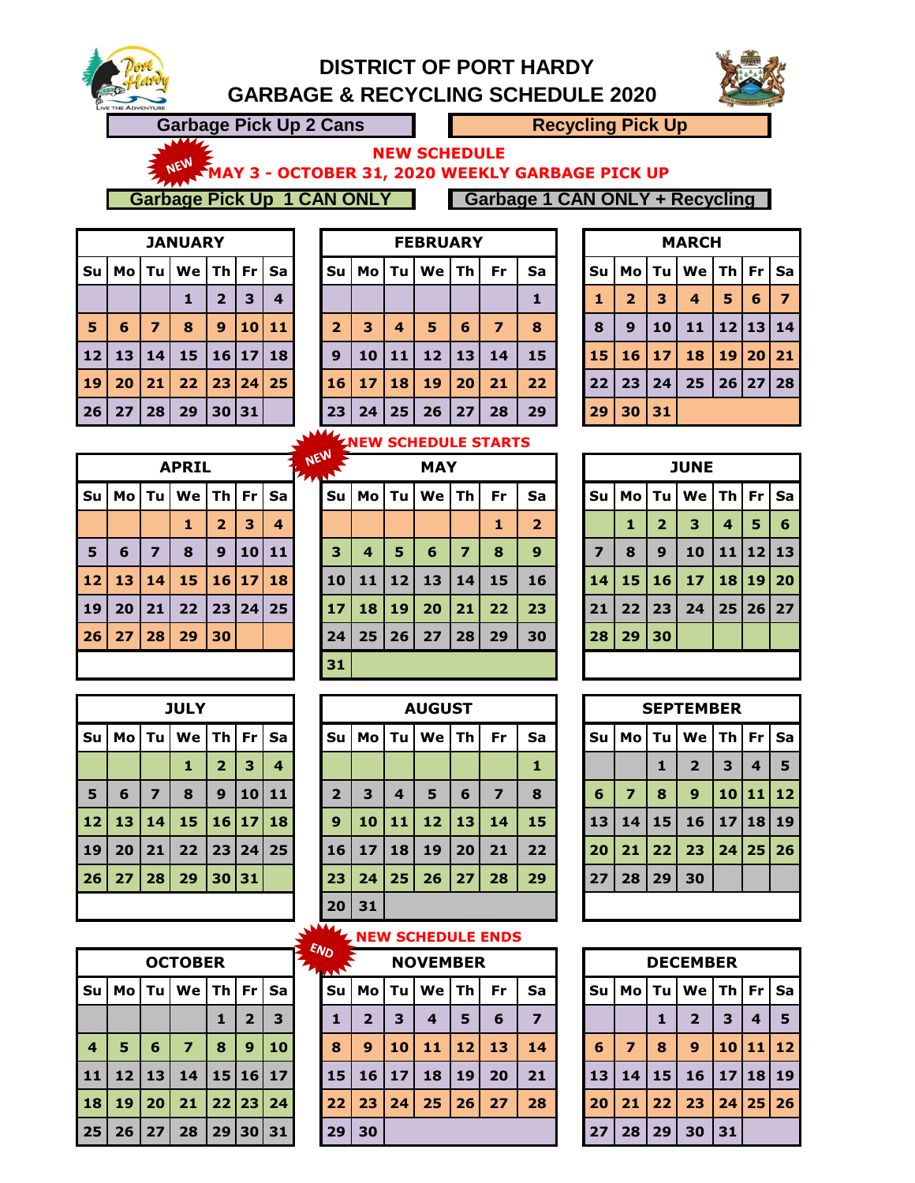

# **DISTRICT OF PORT HARDY GARBAGE & RECYCLING SCHEDULE 2020**



**Garbage Pick Up 2 Cans Recycling Pick Up** 

**NEW SCHEDULE** 

M<sup>EN</sup> MAY 3 - OCTOBER 31, 2020 WEEKLY GARBAGE PICK UP

**Garbage Pick Up 1 CAN ONLY Carbage 1 CAN ONLY + Recycling** 

|                |    |                | <b>JANUARY</b> |                |    |                         |
|----------------|----|----------------|----------------|----------------|----|-------------------------|
| Su             | Mo | Tu             | We             | <b>Th</b>      | Fr | Sa                      |
|                |    |                | 1              | $\overline{2}$ | 3  | $\overline{\mathbf{4}}$ |
| $\overline{5}$ | 6  | $\overline{7}$ | 8              | 9              | 10 | 11                      |
| 12             | 13 | 14             | 15             | 16 17          |    | 18                      |
| 19             | 20 | 21             | 22             | 23 24          |    | 25                      |
| 26             | 27 | 28             | 29             | 30 31          |    |                         |

|                 |      |    | <b>JANUARY</b> |    |         |                  |                       |    |    | <b>FEBRUARY</b> |    |    |    |    |    |      | <b>MARCH</b> |                     |              |    |
|-----------------|------|----|----------------|----|---------|------------------|-----------------------|----|----|-----------------|----|----|----|----|----|------|--------------|---------------------|--------------|----|
| Su              | Mo l | Тu | We l           | Th | Fr.     | Sa               | Su                    | Mo | Tu | We              | Τh | Fr | Sa | Su | Mo | Tu l | We           | <b>Th   Fr   Sa</b> |              |    |
|                 |      |    |                | 2  | 3       | $\boldsymbol{4}$ |                       |    |    |                 |    |    |    |    | 2  | з    | 4            | 5                   | 6            | 7  |
| 5               | 6    | 7  | 8              | 9  |         | 10 11            | 2                     | 3  | 4  | 5               | 6  | 7  | 8  | 8  | 9  | 10   | 11           |                     | 12   13   14 |    |
| 12 <sub>2</sub> | 13   | 14 | 15             |    | 16   17 | 18               | 9                     | 10 | 11 | 12              | 13 | 14 | 15 | 15 | 16 | 17   | 18           |                     | 19 20 21     |    |
| 19              | 20   | 21 | 22             | 23 | 24      | 25               | 16                    | 17 | 18 | 19              | 20 | 21 | 22 | 22 | 23 | 24   | 25           |                     | 26 27        | 28 |
| 26              | 27   | 28 | 29             |    | 30 31   |                  | 23                    | 24 | 25 | 26              | 27 | 28 | 29 | 29 | 30 | 31   |              |                     |              |    |
|                 |      |    |                |    |         |                  | <b><i>EXAMPLE</i></b> |    |    |                 |    |    |    |    |    |      |              |                     |              |    |

|              |                |         | <b>MARCH</b>                |          |   |                |
|--------------|----------------|---------|-----------------------------|----------|---|----------------|
| Su           |                | Mo   Tu | $ $ We $ $ Th $ $ Fr $ $ Sa |          |   |                |
| $\mathbf{1}$ | $\overline{2}$ | 3       | $\boldsymbol{4}$            | 5        | 6 | $\overline{7}$ |
| 8            | $\mathbf{9}$   | 10      | 11                          | 12 13 14 |   |                |
| 15           |                | 16 17   | 18                          | 19 20    |   | 21             |
| 22           | 23 24          |         | 25                          | 26 27 28 |   |                |
| 29           | 30 31          |         |                             |          |   |                |

#### **NEW SCHEDULE STARTS**

|           |      |      | <b>APRIL</b> |        |                 |    | NEW<br>$L_{AA}$ |     |      |      | <b>MAY</b>   |           |     |                         |    |      |                         | <b>JUNE</b> |
|-----------|------|------|--------------|--------|-----------------|----|-----------------|-----|------|------|--------------|-----------|-----|-------------------------|----|------|-------------------------|-------------|
| Su        | Mo l | Tu l | We l         | l Th I | Fr              | Sa |                 | Su  | Mo   | Tu   | We l         | <b>Th</b> | Fr  | Sa                      | Su | Mo l | Tu.                     | We          |
|           |      |      | 1            | 2      | 3               | 4  |                 |     |      |      |              |           | 1   | $\overline{\mathbf{2}}$ |    |      | $\overline{\mathbf{2}}$ | з           |
| 5         | 6    | 7    | 8            | 9      | 10 <sup>1</sup> | 11 |                 | з   | 4    | 5    | 6            | 7         | 8   | 9                       | X  | П    | O)                      | 80          |
| <b>12</b> | 13   | 14   | 15           |        | 16 17           | 18 |                 | n   | n Si | n di | r.           | e e v     | B   | n                       | 14 | 15 I | 16                      | -17         |
| <b>19</b> | 20   | 21   | 22           |        | 23 24           | 25 |                 | 17  | 18   | 19   | 20           | 21        | 22  | 23                      | M) |      | 22 23                   | X.          |
| 26        | 27   | 28   | 29           | 30     |                 |    |                 | PZ. | 25   |      | $26 \mid 27$ | P.        | DO. | BO)                     | 28 |      | 29 30                   |             |
|           |      |      |              |        |                 |    |                 | 31  |      |      |              |           |     |                         |    |      |                         |             |

|      |              |                         |                             |                |   |                | <b>TAAN</b> |                 |           |    |              |                |     |                |                 |       |                |                             |                  |   |     |
|------|--------------|-------------------------|-----------------------------|----------------|---|----------------|-------------|-----------------|-----------|----|--------------|----------------|-----|----------------|-----------------|-------|----------------|-----------------------------|------------------|---|-----|
| Su l |              |                         | Mo   Tu   We   Th   Fr   Sa |                |   |                |             | Su l            |           |    | MolTulWelTh  |                | Fr. | Sa             | Su              |       |                | Mo   Tu   We   Th   Fr   Sa |                  |   |     |
|      |              |                         |                             | $\overline{2}$ | 3 | $\overline{4}$ |             |                 |           |    |              |                | 1   | $\overline{2}$ |                 | 1     | $\overline{2}$ | 3                           | $\boldsymbol{4}$ | 5 | - 6 |
| 5    | 6            | $\overline{\mathbf{z}}$ | 8                           | 9              |   | 10 11          |             | 3               | 4         | 5  | 6            | $\overline{7}$ | 8   | $9^{\circ}$    |                 | K)    | O)             | m                           | 11 12 13         |   |     |
|      | 12   13   14 |                         | 15                          | 16 17 18       |   |                |             | 101             |           |    | 11 12 13     | $\vert$ 14     | 85  | m              | 14 <sup>1</sup> |       |                | 15 16 17                    | 18 19 20         |   |     |
| ا 19 | 20           | 21                      | 22                          | 23 24 25       |   |                |             | 17 <sup>1</sup> | <b>18</b> | 19 | 20           | 21             | 22  | 23             | 920             |       | 22 23          | X.                          | 25 26 27         |   |     |
| 26   |              | 27 28                   | 29                          | 30             |   |                |             | m               | X,        | 26 | $\mathbf{Z}$ | IX.            | 29  | BO)            | 28              | 29 30 |                |                             |                  |   |     |
|      |              |                         |                             |                |   |                |             | 31              |           |    |              |                |     |                |                 |       |                |                             |                  |   |     |
|      |              |                         |                             |                |   |                |             |                 |           |    |              |                |     |                |                 |       |                |                             |                  |   |     |

|    |              |                         | <b>JUNE</b>                      |     |          |    |
|----|--------------|-------------------------|----------------------------------|-----|----------|----|
| Su |              | Mo Tu                   | We $\vert$ Th $\vert$ Fr $\vert$ |     |          | Sa |
|    | 1            | $\overline{\mathbf{2}}$ | з                                | 4   | 5        | 6  |
|    | 8            | 9                       | H)                               | 191 | 12       |    |
| 14 |              | 15 16                   | 17                               |     | 18 19 20 |    |
| Z. | $\mathbf{z}$ | y.                      | 24                               | 25  | 26       |    |
| 28 | $29$ 30      |                         |                                  |     |          |    |
|    |              |                         |                                  |     |          |    |

|                 |        |         | <b>JULY</b>                 |                         |      |   |
|-----------------|--------|---------|-----------------------------|-------------------------|------|---|
| Su              |        | $Mo$ Tu | $ $ We $ $ Th $ $ Fr $ $ Sa |                         |      |   |
|                 |        |         | 1                           | $\overline{\mathbf{2}}$ | 3    | 4 |
| V               | 6      |         | 8                           | 3                       | 40   |   |
| 12              |        | 13 14   | 15                          | 16   17   18            |      |   |
| â               | 9 X 0) | ×W      | 22                          | 26                      | P.Z. |   |
| 26 <sup>°</sup> |        |         | 27   28   29   30   31      |                         |      |   |

|    |       |    | <b>OCTOBER</b>              |       |      |      |
|----|-------|----|-----------------------------|-------|------|------|
|    |       |    | Su   Mo   Tu   We   Th   Fr |       |      | l Sa |
|    |       |    |                             |       | 4    | \$   |
| 4  | 5     | 6  | 7                           | 8     | 9    | 10   |
|    | w,    | 18 | œ                           | 15    | ĸ    |      |
| 18 | 19 20 |    | 21                          | 22 23 |      | 24   |
|    | 26    |    | 23                          | 20    | k (f |      |

|     |      |    | <b>JULY</b> |                |           |                |             |    |    | <b>AUGUST</b> |     |    |    |    |    |    | <b>SEPTEMBER</b> |       |              |           |
|-----|------|----|-------------|----------------|-----------|----------------|-------------|----|----|---------------|-----|----|----|----|----|----|------------------|-------|--------------|-----------|
| Su  | Mo l | Tu | We l        | Th I           | <b>Fr</b> | Sa             | <b>Su</b>   | Mo | Tu | We            | Th  | Fr | Sa | Su | Mo | Tu | We               | Th Fr |              | <b>Sa</b> |
|     |      |    |             | $\overline{2}$ | 3         | $\overline{a}$ |             |    |    |               |     |    |    |    |    | U  | p                | B     | Ľ.           | B         |
| B   | n    | y, | B           | D              |           | 10 11          | n           | r, | Ľ. | B             | G   | ×  | n  | 6  | 7  | 8  | 9                | 10    | 11           | 12        |
| 12  | 13   | 14 | 15          | 16             | 17        | 18             | 9           | 10 | 11 | 12            | 13  | 14 | 15 | n. | w  | 15 | n                |       | <b>Lynne</b> | BC        |
| IO. | m    | m  | m           |                |           | 23 24 25       | W.          | w  | 88 | n)            | P.O | p. | y. | 20 | 21 | 22 | 23               |       | 24 25 26     |           |
| 26  | 27   | 28 | 29          | 30             | 31        |                | 23          | 24 | 25 | 26            | 27  | 28 | 29 | W  | 23 | V. | 80               |       |              |           |
|     |      |    |             |                |           |                | 20          | r) |    |               |     |    |    |    |    |    |                  |       |              |           |
|     |      |    |             |                |           |                | <b>NAAL</b> |    |    |               |     |    |    |    |    |    |                  |       |              |           |

|    |                |    | <b>SEPTEMBER</b>                             |    |          |     |
|----|----------------|----|----------------------------------------------|----|----------|-----|
| Su |                |    | Mo   Tu   We   Th   Fr   Sa                  |    |          |     |
|    |                |    |                                              |    | ă.       | S   |
| 6  | $\overline{7}$ | 8  | 9 <sup>°</sup>                               |    | 10 11 12 |     |
|    | œ              | B  | e ko                                         | 17 | B        | HC. |
| 20 |                |    | $21 \mid 22 \mid 23 \mid 24 \mid 25 \mid 26$ |    |          |     |
|    | 23             | 29 | 30                                           |    |          |     |

#### **NEW SCHEDULE ENDS**

|                |      |     | <b>OCTOBER</b> |    |           |          | <b>END</b><br><b>THAT</b> |    |    |    | <b>NOVEMBER</b>  |    |    |    |    |    |    | <b>DECEMBER</b>         |              |          |           |
|----------------|------|-----|----------------|----|-----------|----------|---------------------------|----|----|----|------------------|----|----|----|----|----|----|-------------------------|--------------|----------|-----------|
| Su             | Mo l | Тu  | We l           | Th | <b>Fr</b> | Sa       |                           | Su | Mo | Τu | We               | Τh | Fr | Sa | Su | Mo | Tu | <b>We</b>               | <b>Th Fr</b> |          | <b>Sa</b> |
|                |      |     |                | n  | þ.        | B        |                           | 1  | כ  | 3  | $\boldsymbol{4}$ | 5  | 6  | 7  |    |    |    | $\overline{\mathbf{2}}$ | з            | 4        | -5        |
| $\overline{4}$ | 5    | 6   | 7              | 8  | 9         | 10       |                           | 8  | 9  | 10 | 11               | 12 | 13 | 14 | 6  | 7  | 8  | 9                       | 10           | 11       | 12        |
| T              | 10   | 880 | 80 Y           |    |           | 15 16 17 |                           | 15 | 16 | 17 | 18               | 19 | 20 | 21 | 13 | 14 | 15 | 16                      | 17           | 18 19    |           |
| 18             | 19   | 20  | 21             |    | 22 23     | 24       |                           | 22 | 23 | 24 | 25               | 26 | 27 | 28 | 20 | 21 | 22 | 23                      |              | 24 25 26 |           |
| 25             | 26   | W   | W.             | w  |           | 30 BS 1  |                           | 29 | 30 |    |                  |    |    |    | 27 | 28 | 29 | 30                      | 31           |          |           |

|    |                |   | <b>DECEMBER</b> |       |    |                   |
|----|----------------|---|-----------------|-------|----|-------------------|
| Su | Mo Tu          |   | $We$ Th         |       | Fr | Sa                |
|    |                | 1 | $\overline{2}$  | 3     | 4  | 5                 |
| 6  | $\overline{7}$ | 8 | 9               | 10    | 11 | $12 \overline{ }$ |
| 13 | 14 15          |   | 16              | 17 18 |    | 19                |
| 20 | $21 \mid 22$   |   | 23              |       |    | 24 25 26          |
| 27 | 28 29          |   | 30              | 31    |    |                   |